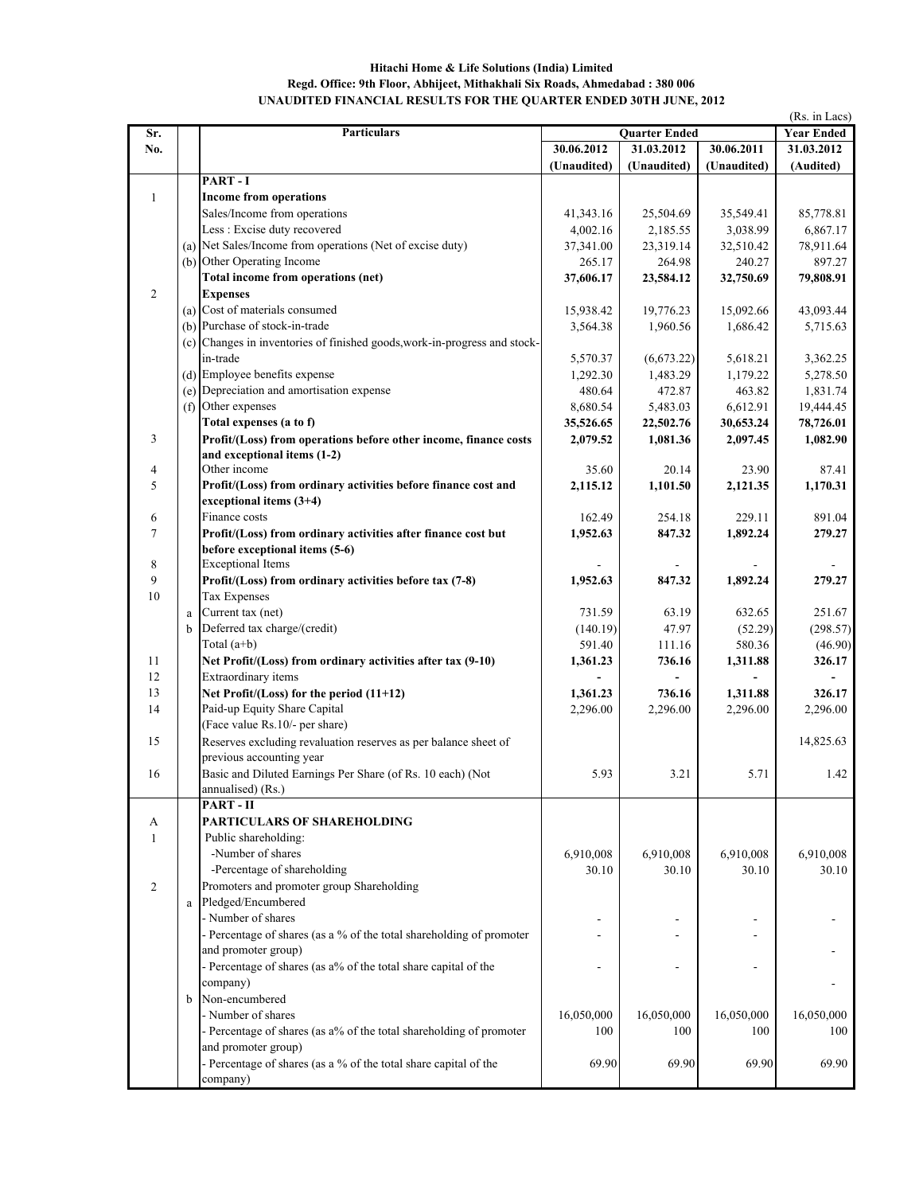## **Hitachi Home & Life Solutions (India) Limited Regd. Office: 9th Floor, Abhijeet, Mithakhali Six Roads, Ahmedabad : 380 006 UNAUDITED FINANCIAL RESULTS FOR THE QUARTER ENDED 30TH JUNE, 2012**

|                |          | <b>Particulars</b>                                                    |                       |                       |                       | (Rs. in Lacs)         |
|----------------|----------|-----------------------------------------------------------------------|-----------------------|-----------------------|-----------------------|-----------------------|
| Sr.            |          |                                                                       | <b>Quarter Ended</b>  |                       |                       | <b>Year Ended</b>     |
| No.            |          |                                                                       | 30.06.2012            | 31.03.2012            | 30.06.2011            | 31.03.2012            |
|                |          | PART-I                                                                | (Unaudited)           | (Unaudited)           | (Unaudited)           | (Audited)             |
| $\mathbf{1}$   |          | <b>Income from operations</b>                                         |                       |                       |                       |                       |
|                |          | Sales/Income from operations                                          |                       |                       |                       |                       |
|                |          | Less : Excise duty recovered                                          | 41,343.16<br>4,002.16 | 25,504.69<br>2,185.55 | 35,549.41<br>3,038.99 | 85,778.81<br>6,867.17 |
|                |          | (a) Net Sales/Income from operations (Net of excise duty)             | 37,341.00             | 23,319.14             | 32,510.42             | 78,911.64             |
|                |          | (b) Other Operating Income                                            | 265.17                | 264.98                | 240.27                | 897.27                |
|                |          | Total income from operations (net)                                    | 37,606.17             | 23,584.12             | 32,750.69             | 79,808.91             |
| $\overline{2}$ |          | <b>Expenses</b>                                                       |                       |                       |                       |                       |
|                |          | (a) Cost of materials consumed                                        | 15,938.42             | 19,776.23             | 15,092.66             | 43,093.44             |
|                |          | (b) Purchase of stock-in-trade                                        | 3,564.38              | 1,960.56              | 1,686.42              | 5,715.63              |
|                | (c)      | Changes in inventories of finished goods, work-in-progress and stock- |                       |                       |                       |                       |
|                |          | in-trade                                                              | 5,570.37              | (6,673.22)            | 5,618.21              | 3,362.25              |
|                |          | (d) Employee benefits expense                                         | 1,292.30              | 1,483.29              | 1,179.22              | 5,278.50              |
|                |          | (e) Depreciation and amortisation expense                             | 480.64                | 472.87                | 463.82                | 1,831.74              |
|                | (f)      | Other expenses                                                        | 8,680.54              | 5,483.03              | 6,612.91              | 19,444.45             |
|                |          | Total expenses (a to f)                                               | 35,526.65             | 22,502.76             | 30,653.24             | 78,726.01             |
| 3              |          | Profit/(Loss) from operations before other income, finance costs      | 2,079.52              | 1,081.36              | 2,097.45              | 1,082.90              |
|                |          | and exceptional items (1-2)                                           |                       |                       |                       |                       |
| 4              |          | Other income                                                          | 35.60                 | 20.14                 | 23.90                 | 87.41                 |
| 5              |          | Profit/(Loss) from ordinary activities before finance cost and        | 2,115.12              | 1,101.50              | 2,121.35              | 1,170.31              |
|                |          | exceptional items (3+4)                                               |                       |                       |                       |                       |
| 6              |          | Finance costs                                                         | 162.49                | 254.18                | 229.11                | 891.04                |
| $\overline{7}$ |          | Profit/(Loss) from ordinary activities after finance cost but         | 1,952.63              | 847.32                | 1,892.24              | 279.27                |
|                |          | before exceptional items (5-6)                                        |                       |                       |                       |                       |
| 8              |          | <b>Exceptional Items</b>                                              |                       |                       |                       |                       |
| 9              |          | Profit/(Loss) from ordinary activities before tax (7-8)               | 1,952.63              | 847.32                | 1,892.24              | 279.27                |
| 10             |          | Tax Expenses                                                          |                       |                       |                       |                       |
|                | $\rm{a}$ | Current tax (net)                                                     | 731.59                | 63.19                 | 632.65                | 251.67                |
|                | b        | Deferred tax charge/(credit)                                          | (140.19)              | 47.97                 | (52.29)               | (298.57)              |
|                |          | Total $(a+b)$                                                         | 591.40                | 111.16                | 580.36                | (46.90)               |
| 11             |          | Net Profit/(Loss) from ordinary activities after tax (9-10)           | 1,361.23              | 736.16                | 1,311.88              | 326.17                |
| 12             |          | Extraordinary items                                                   |                       |                       |                       |                       |
| 13             |          | Net Profit/(Loss) for the period (11+12)                              | 1,361.23              | 736.16                | 1,311.88              | 326.17                |
| 14             |          | Paid-up Equity Share Capital                                          | 2,296.00              | 2,296.00              | 2,296.00              | 2,296.00              |
|                |          | (Face value Rs.10/- per share)                                        |                       |                       |                       |                       |
| 15             |          | Reserves excluding revaluation reserves as per balance sheet of       |                       |                       |                       | 14,825.63             |
|                |          | previous accounting year                                              |                       |                       |                       |                       |
| 16             |          | Basic and Diluted Earnings Per Share (of Rs. 10 each) (Not            | 5.93                  | 3.21                  | 5.71                  | 1.42                  |
|                |          | annualised) (Rs.)                                                     |                       |                       |                       |                       |
|                |          | PART-II                                                               |                       |                       |                       |                       |
| А              |          | <b>PARTICULARS OF SHAREHOLDING</b>                                    |                       |                       |                       |                       |
| 1              |          | Public shareholding:                                                  |                       |                       |                       |                       |
|                |          | -Number of shares                                                     | 6,910,008             | 6,910,008             | 6,910,008             | 6,910,008             |
|                |          | -Percentage of shareholding                                           | 30.10                 | 30.10                 | 30.10                 | 30.10                 |
| 2              |          | Promoters and promoter group Shareholding                             |                       |                       |                       |                       |
|                | a        | Pledged/Encumbered                                                    |                       |                       |                       |                       |
|                |          | - Number of shares                                                    |                       |                       |                       |                       |
|                |          | - Percentage of shares (as a % of the total shareholding of promoter  |                       |                       |                       |                       |
|                |          | and promoter group)                                                   |                       |                       |                       |                       |
|                |          | - Percentage of shares (as a% of the total share capital of the       |                       |                       |                       |                       |
|                |          | company)                                                              |                       |                       |                       |                       |
|                | b        | Non-encumbered                                                        |                       |                       |                       |                       |
|                |          | - Number of shares                                                    | 16,050,000            | 16,050,000            | 16,050,000            | 16,050,000            |
|                |          | - Percentage of shares (as a% of the total shareholding of promoter   | 100                   | 100                   | 100                   | 100                   |
|                |          | and promoter group)                                                   |                       |                       |                       |                       |
|                |          | - Percentage of shares (as a % of the total share capital of the      | 69.90                 | 69.90                 | 69.90                 | 69.90                 |
|                |          | company)                                                              |                       |                       |                       |                       |